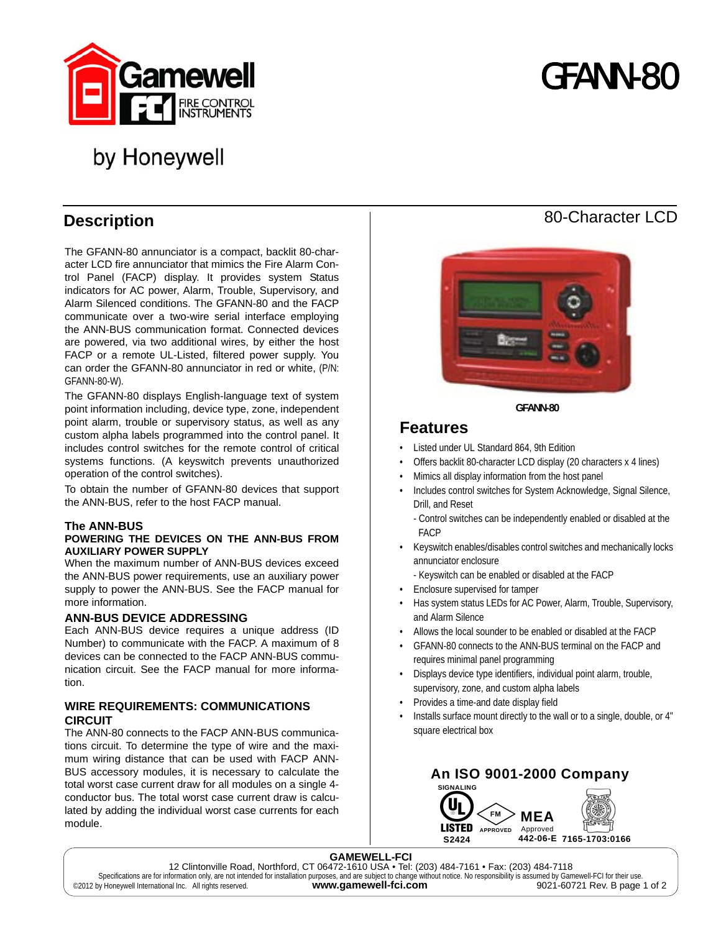

# GFANN-80

## by Honeywell

## **Description**

The GFANN-80 annunciator is a compact, backlit 80-character LCD fire annunciator that mimics the Fire Alarm Control Panel (FACP) display. It provides system Status indicators for AC power, Alarm, Trouble, Supervisory, and Alarm Silenced conditions. The GFANN-80 and the FACP communicate over a two-wire serial interface employing the ANN-BUS communication format. Connected devices are powered, via two additional wires, by either the host FACP or a remote UL-Listed, filtered power supply. You can order the GFANN-80 annunciator in red or white, (P/N: GFANN-80-W).

The GFANN-80 displays English-language text of system point information including, device type, zone, independent point alarm, trouble or supervisory status, as well as any custom alpha labels programmed into the control panel. It includes control switches for the remote control of critical systems functions. (A keyswitch prevents unauthorized operation of the control switches).

To obtain the number of GFANN-80 devices that support the ANN-BUS, refer to the host FACP manual.

#### **The ANN-BUS**

#### **POWERING THE DEVICES ON THE ANN-BUS FROM AUXILIARY POWER SUPPLY**

When the maximum number of ANN-BUS devices exceed the ANN-BUS power requirements, use an auxiliary power supply to power the ANN-BUS. See the FACP manual for more information.

#### **ANN-BUS DEVICE ADDRESSING**

Each ANN-BUS device requires a unique address (ID Number) to communicate with the FACP. A maximum of 8 devices can be connected to the FACP ANN-BUS communication circuit. See the FACP manual for more information.

## **WIRE REQUIREMENTS: COMMUNICATIONS CIRCUIT**

The ANN-80 connects to the FACP ANN-BUS communications circuit. To determine the type of wire and the maximum wiring distance that can be used with FACP ANN-BUS accessory modules, it is necessary to calculate the total worst case current draw for all modules on a single 4 conductor bus. The total worst case current draw is calculated by adding the individual worst case currents for each module.



**GFANN-80**

## **Features**

- Listed under UL Standard 864, 9th Edition
- Offers backlit 80-character LCD display (20 characters x 4 lines)
- Mimics all display information from the host panel
- Includes control switches for System Acknowledge, Signal Silence, Drill, and Reset
	- Control switches can be independently enabled or disabled at the FACP
- Keyswitch enables/disables control switches and mechanically locks annunciator enclosure
	- Keyswitch can be enabled or disabled at the FACP
- Enclosure supervised for tamper
- Has system status LEDs for AC Power, Alarm, Trouble, Supervisory, and Alarm Silence
- Allows the local sounder to be enabled or disabled at the FACP
- GFANN-80 connects to the ANN-BUS terminal on the FACP and requires minimal panel programming
- Displays device type identifiers, individual point alarm, trouble, supervisory, zone, and custom alpha labels
- Provides a time-and date display field
- Installs surface mount directly to the wall or to a single, double, or 4" square electrical box



## 80-Character LCD